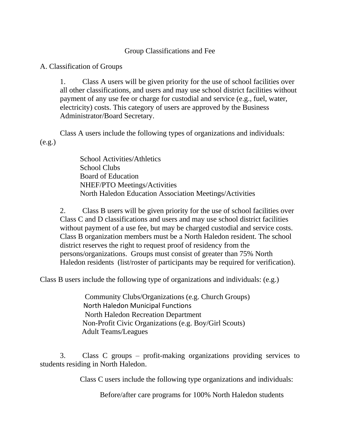## Group Classifications and Fee

A. Classification of Groups

1. Class A users will be given priority for the use of school facilities over all other classifications, and users and may use school district facilities without payment of any use fee or charge for custodial and service (e.g., fuel, water, electricity) costs. This category of users are approved by the Business Administrator/Board Secretary.

Class A users include the following types of organizations and individuals: (e.g.)

> School Activities/Athletics School Clubs Board of Education NHEF/PTO Meetings/Activities North Haledon Education Association Meetings/Activities

2. Class B users will be given priority for the use of school facilities over Class C and D classifications and users and may use school district facilities without payment of a use fee, but may be charged custodial and service costs. Class B organization members must be a North Haledon resident. The school district reserves the right to request proof of residency from the persons/organizations. Groups must consist of greater than 75% North Haledon residents (list/roster of participants may be required for verification).

Class B users include the following type of organizations and individuals: (e.g.)

 Community Clubs/Organizations (e.g. Church Groups) North Haledon Municipal Functions North Haledon Recreation Department Non-Profit Civic Organizations (e.g. Boy/Girl Scouts) Adult Teams/Leagues

3. Class C groups – profit-making organizations providing services to students residing in North Haledon.

Class C users include the following type organizations and individuals:

Before/after care programs for 100% North Haledon students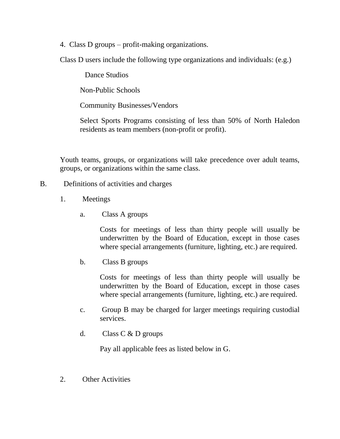4. Class D groups – profit-making organizations.

Class D users include the following type organizations and individuals: (e.g.)

Dance Studios

Non-Public Schools

Community Businesses/Vendors

Select Sports Programs consisting of less than 50% of North Haledon residents as team members (non-profit or profit).

Youth teams, groups, or organizations will take precedence over adult teams, groups, or organizations within the same class.

## B. Definitions of activities and charges

- 1. Meetings
	- a. Class A groups

Costs for meetings of less than thirty people will usually be underwritten by the Board of Education, except in those cases where special arrangements (furniture, lighting, etc.) are required.

b. Class B groups

Costs for meetings of less than thirty people will usually be underwritten by the Board of Education, except in those cases where special arrangements (furniture, lighting, etc.) are required.

- c. Group B may be charged for larger meetings requiring custodial services.
- d. Class C & D groups

Pay all applicable fees as listed below in G.

2. Other Activities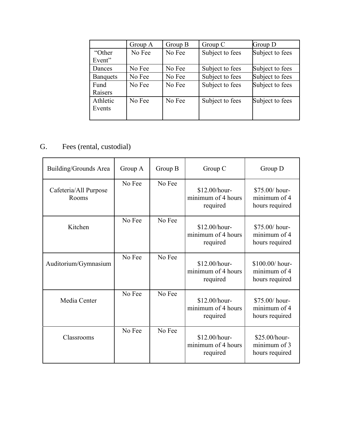|                 | Group A | Group B | Group C         | Group D         |
|-----------------|---------|---------|-----------------|-----------------|
| "Other"         | No Fee  | No Fee  | Subject to fees | Subject to fees |
| Event"          |         |         |                 |                 |
| Dances          | No Fee  | No Fee  | Subject to fees | Subject to fees |
| <b>Banquets</b> | No Fee  | No Fee  | Subject to fees | Subject to fees |
| Fund            | No Fee  | No Fee  | Subject to fees | Subject to fees |
| Raisers         |         |         |                 |                 |
| Athletic        | No Fee  | No Fee  | Subject to fees | Subject to fees |
| Events          |         |         |                 |                 |
|                 |         |         |                 |                 |

## G. Fees (rental, custodial)

| Building/Grounds Area          | Group A | Group B | Group C                                         | Group D                                           |
|--------------------------------|---------|---------|-------------------------------------------------|---------------------------------------------------|
| Cafeteria/All Purpose<br>Rooms | No Fee  | No Fee  | \$12.00/hour-<br>minimum of 4 hours<br>required | \$75.00/ hour-<br>minimum of 4<br>hours required  |
| Kitchen                        | No Fee  | No Fee  | \$12.00/hour-<br>minimum of 4 hours<br>required | \$75.00/ hour-<br>minimum of 4<br>hours required  |
| Auditorium/Gymnasium           | No Fee  | No Fee  | \$12.00/hour-<br>minimum of 4 hours<br>required | \$100.00/ hour-<br>minimum of 4<br>hours required |
| Media Center                   | No Fee  | No Fee  | \$12.00/hour-<br>minimum of 4 hours<br>required | \$75.00/ hour-<br>minimum of 4<br>hours required  |
| Classrooms                     | No Fee  | No Fee  | \$12.00/hour-<br>minimum of 4 hours<br>required | \$25.00/hour-<br>minimum of 3<br>hours required   |